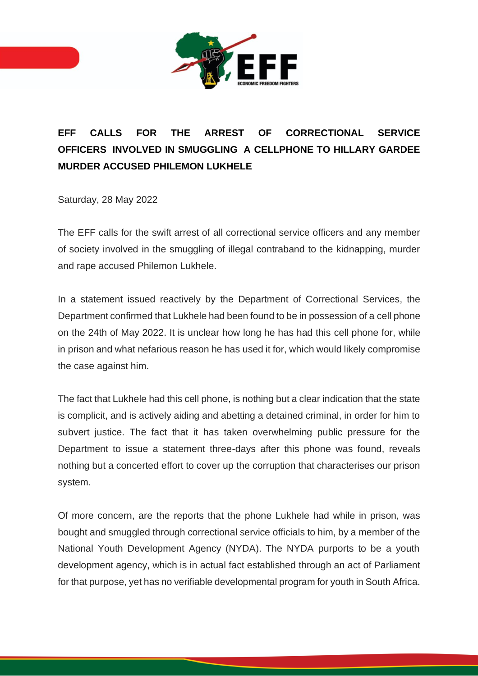

## **EFF CALLS FOR THE ARREST OF CORRECTIONAL SERVICE OFFICERS INVOLVED IN SMUGGLING A CELLPHONE TO HILLARY GARDEE MURDER ACCUSED PHILEMON LUKHELE**

Saturday, 28 May 2022

The EFF calls for the swift arrest of all correctional service officers and any member of society involved in the smuggling of illegal contraband to the kidnapping, murder and rape accused Philemon Lukhele.

In a statement issued reactively by the Department of Correctional Services, the Department confirmed that Lukhele had been found to be in possession of a cell phone on the 24th of May 2022. It is unclear how long he has had this cell phone for, while in prison and what nefarious reason he has used it for, which would likely compromise the case against him.

The fact that Lukhele had this cell phone, is nothing but a clear indication that the state is complicit, and is actively aiding and abetting a detained criminal, in order for him to subvert justice. The fact that it has taken overwhelming public pressure for the Department to issue a statement three-days after this phone was found, reveals nothing but a concerted effort to cover up the corruption that characterises our prison system.

Of more concern, are the reports that the phone Lukhele had while in prison, was bought and smuggled through correctional service officials to him, by a member of the National Youth Development Agency (NYDA). The NYDA purports to be a youth development agency, which is in actual fact established through an act of Parliament for that purpose, yet has no verifiable developmental program for youth in South Africa.